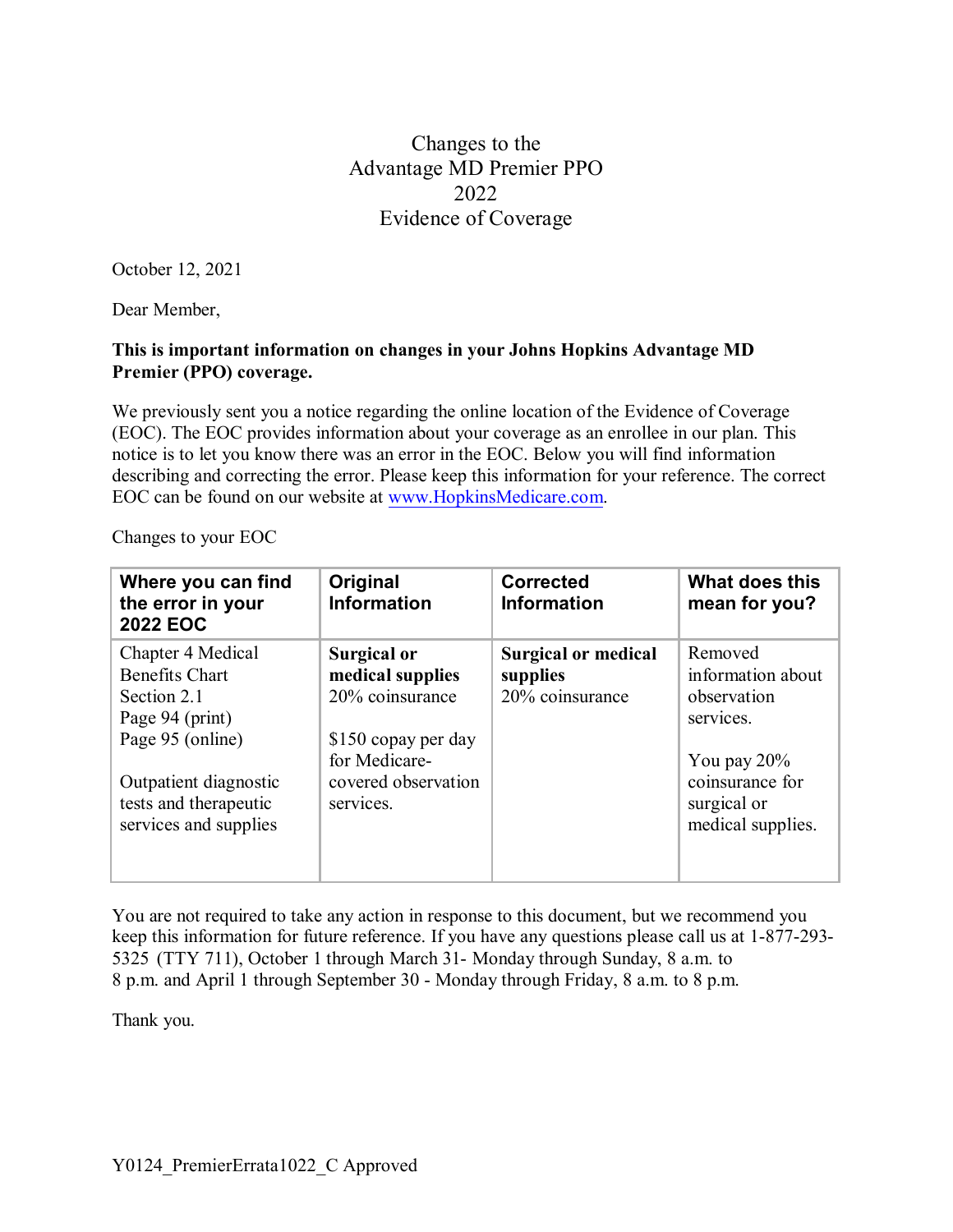## Changes to the Advantage MD Premier PPO 2022 Evidence of Coverage

October 12, 2021

Dear Member,

## **This is important information on changes in your Johns Hopkins Advantage MD Premier (PPO) coverage.**

We previously sent you a notice regarding the online location of the Evidence of Coverage (EOC). The EOC provides information about your coverage as an enrollee in our plan. This notice is to let you know there was an error in the EOC. Below you will find information describing and correcting the error. Please keep this information for your reference. The correct EOC can be found on our website at [www.HopkinsMedicare.com.](http://www.hopkinsmedicare.com/)

Changes to your EOC

| Where you can find<br>the error in your<br><b>2022 EOC</b>                                                                                                                  | Original<br><b>Information</b>                                                                                                 | <b>Corrected</b><br><b>Information</b>                    | What does this<br>mean for you?                                                                                                   |
|-----------------------------------------------------------------------------------------------------------------------------------------------------------------------------|--------------------------------------------------------------------------------------------------------------------------------|-----------------------------------------------------------|-----------------------------------------------------------------------------------------------------------------------------------|
| Chapter 4 Medical<br><b>Benefits Chart</b><br>Section 2.1<br>Page 94 (print)<br>Page 95 (online)<br>Outpatient diagnostic<br>tests and therapeutic<br>services and supplies | Surgical or<br>medical supplies<br>20% coinsurance<br>\$150 copay per day<br>for Medicare-<br>covered observation<br>services. | <b>Surgical or medical</b><br>supplies<br>20% coinsurance | Removed<br>information about<br>observation<br>services.<br>You pay $20\%$<br>coinsurance for<br>surgical or<br>medical supplies. |

You are not required to take any action in response to this document, but we recommend you keep this information for future reference. If you have any questions please call us at 1-877-293- 5325 (TTY 711), October 1 through March 31- Monday through Sunday, 8 a.m. to 8 p.m. and April 1 through September 30 - Monday through Friday, 8 a.m. to 8 p.m.

Thank you.